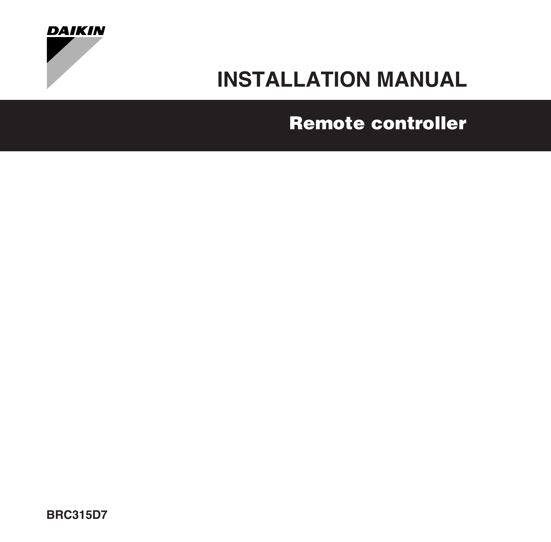

# **[INSTALLATION MANUAL](#page-2-0)**

# **[Remote controller](#page-2-1)**

**BRC315D7**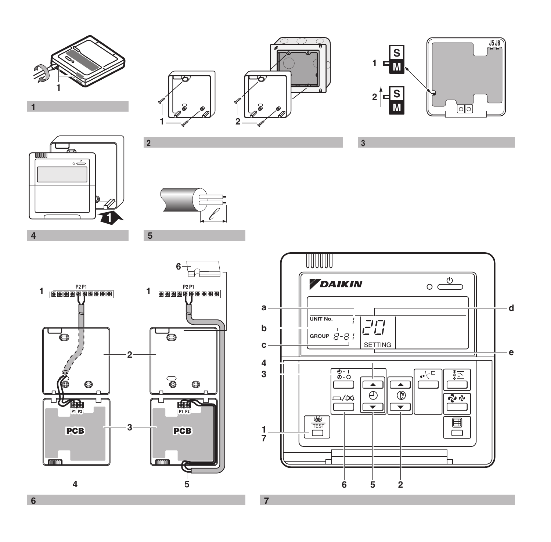<span id="page-1-0"></span>

 $\overline{1}$ 

<span id="page-1-1"></span>

<span id="page-1-5"></span>

<span id="page-1-4"></span>

<span id="page-1-3"></span>



<span id="page-1-2"></span>

<span id="page-1-6"></span>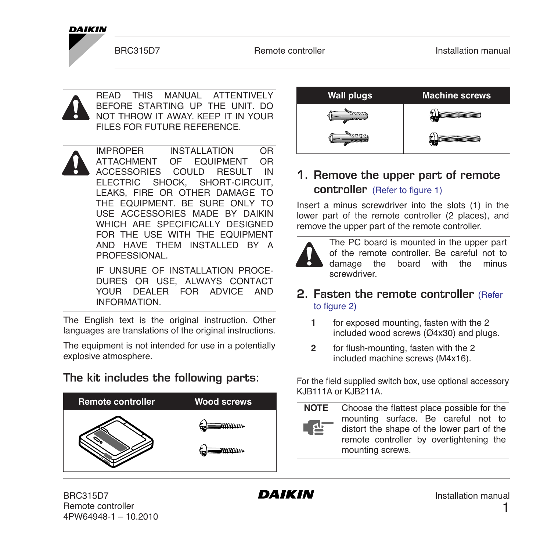#### **DAIKIN**

READ THIS MANUAL ATTENTIVELY BEFORE STARTING UP THE UNIT. DO NOT THROW IT AWAY. KEEP IT IN YOUR FILES FOR FUTURE REFERENCE.

IMPROPER INSTALLATION OR ATTACHMENT OF EQUIPMENT OR ACCESSORIES COULD RESULT IN<br>ELECTRIC SHOCK, SHORT-CIRCUIT, ELECTRIC SHOCK. LEAKS, FIRE OR OTHER DAMAGE TO THE EQUIPMENT. BE SURE ONLY TO USE ACCESSORIES MADE BY DAIKIN WHICH ARE SPECIFICALLY DESIGNED FOR THE USE WITH THE EQUIPMENT AND HAVE THEM INSTALLED BY A **PROFESSIONAL** 

> IF UNSURE OF INSTALLATION PROCE-DURES OR USE, ALWAYS CONTACT YOUR DEALER FOR ADVICE AND INFORMATION.

The English text is the original instruction. Other languages are translations of the original instructions.

The equipment is not intended for use in a potentially explosive atmosphere.

**The kit includes the following parts:** 



<span id="page-2-1"></span><span id="page-2-0"></span>

#### **1. Remove the upper part of remote controller** [\(Refer to figure 1\)](#page-1-0)

Insert a minus screwdriver into the slots (1) in the lower part of the remote controller (2 places), and remove the upper part of the remote controller.



#### **2. Fasten the remote controller** [\(Refer](#page-1-1) [to figure 2\)](#page-1-1)

- **1** for exposed mounting, fasten with the 2 included wood screws (Ø4x30) and plugs.
- **2** for flush-mounting, fasten with the 2 included machine screws (M4x16).

For the field supplied switch box, use optional accessory KJB111A or KJB211A.

**NOTE** Choose the flattest place possible for the mounting surface. Be careful not to distort the shape of the lower part of the remote controller by overtightening the mounting screws.

BRC315D7 Remote controller 4PW64948-1 – 10.2010

1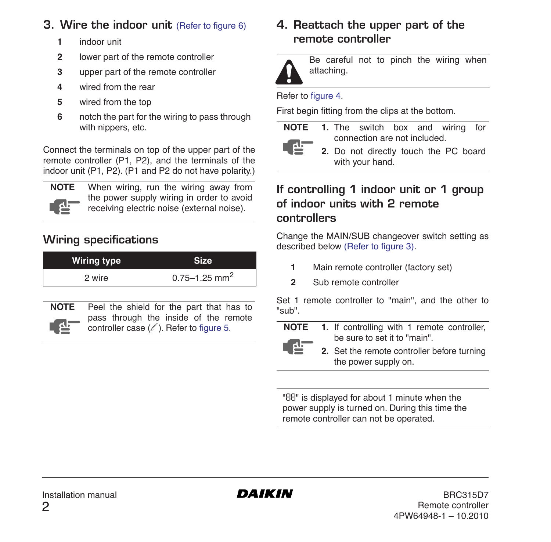#### **3. Wire the indoor unit [\(Refer to figure 6\)](#page-1-2)**

- **1** indoor unit
- **2** lower part of the remote controller
- **3** upper part of the remote controller
- **4** wired from the rear
- **5** wired from the top
- **6** notch the part for the wiring to pass through with nippers, etc.

Connect the terminals on top of the upper part of the remote controller (P1, P2), and the terminals of the indoor unit (P1, P2). (P1 and P2 do not have polarity.)



**NOTE** When wiring, run the wiring away from the power supply wiring in order to avoid receiving electric noise (external noise).

## **Wiring specifications**

| Wiring type |                               |  |  |  |
|-------------|-------------------------------|--|--|--|
| 2 wire      | $0.75 - 1.25$ mm <sup>2</sup> |  |  |  |



**NOTE** Peel the shield for the part that has to pass through the inside of the remote controller case  $(\ell')$ . Refer to [figure 5.](#page-1-3)

#### **4. Reattach the upper part of the remote controller**



Be careful not to pinch the wiring when attaching.

#### Refer to [figure 4.](#page-1-4)

First begin fitting from the clips at the bottom.

| ٠ |   |
|---|---|
|   | г |

- **NOTE 1.** The switch box and wiring for connection are not included.
	- **2.** Do not directly touch the PC board with your hand.

### **If controlling 1 indoor unit or 1 group of indoor units with 2 remote controllers**

Change the MAIN/SUB changeover switch setting as described below [\(Refer to figure 3\).](#page-1-5)

- **1** Main remote controller (factory set)
- **2** Sub remote controller

Set 1 remote controller to "main", and the other to "sub".

- **NOTE 1.** If controlling with 1 remote controller, be sure to set it to "main". نلع ا
	- **2.** Set the remote controller before turning the power supply on.

"*88*" is displayed for about 1 minute when the power supply is turned on. During this time the remote controller can not be operated.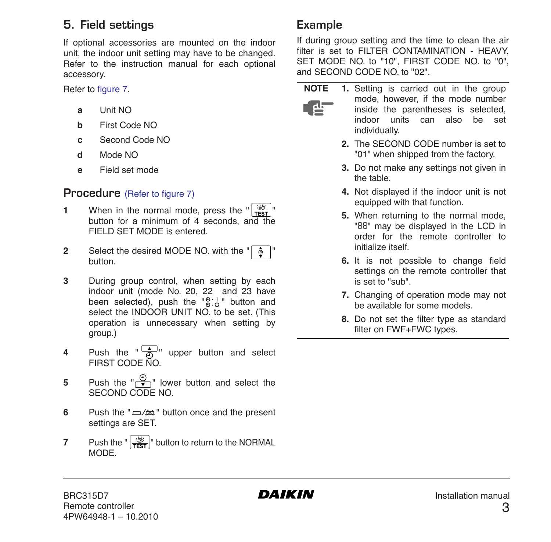#### **5. Field settings**

If optional accessories are mounted on the indoor unit, the indoor unit setting may have to be changed. Refer to the instruction manual for each optional accessory.

Refer to [figure 7](#page-1-6).

- **a** Unit NO
- **b** First Code NO
- **c** Second Code NO
- **d** Mode NO
- **e** Field set mode

#### **Procedure** [\(Refer to figure 7\)](#page-1-6)

- **1** When in the normal mode, press the  $\frac{1}{\sqrt{2}}$ button for a minimum of 4 seconds, and the FIELD SET MODE is entered.
- **2** Select the desired MODE NO. with the " button.
- **3** During group control, when setting by each indoor unit (mode No. 20, 22 and 23 have been selected), push the " $\mathbb{R}^{+1}$ " button and select the INDOOR UNIT NO. to be set. (This operation is unnecessary when setting by group.)
- **4** Push the  $\frac{1}{a}$  upper button and select FIRST CODE NO.
- **5** Push the  $\left(\frac{\theta}{\bullet}\right)^n$  lower button and select the SECOND CODE NO.
- **6** Push the " $\Rightarrow$ / $\approx$ " button once and the present settings are SET.
- **7** Push the " $\frac{100}{1500}$ " button to return to the NORMAL MODE.

### **Example**

If during group setting and the time to clean the air filter is set to FILTER CONTAMINATION - HEAVY, SET MODE NO. to "10", FIRST CODE NO. to "0", and SECOND CODE NO. to "02".

- طع '
- **NOTE 1.** Setting is carried out in the group mode, however, if the mode number inside the parentheses is selected, indoor units can also be set individually.
	- **2.** The SECOND CODE number is set to "01" when shipped from the factory.
	- **3.** Do not make any settings not given in the table.
	- **4.** Not displayed if the indoor unit is not equipped with that function.
	- **5.** When returning to the normal mode, "*88*" may be displayed in the LCD in order for the remote controller to initialize itself.
	- **6.** It is not possible to change field settings on the remote controller that is set to "sub".
	- **7.** Changing of operation mode may not be available for some models.
	- **8.** Do not set the filter type as standard filter on FWF+FWC types.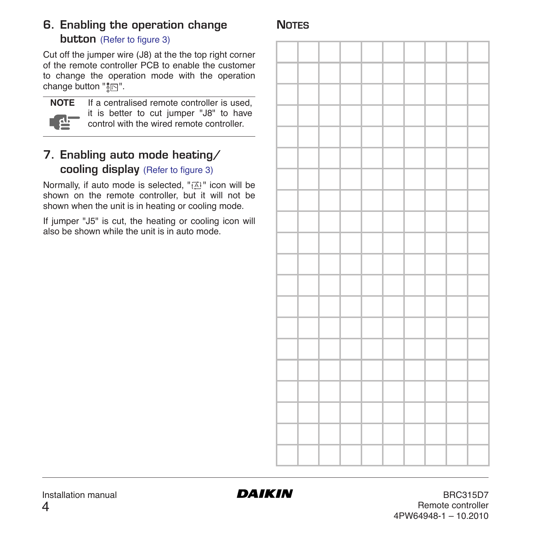# **6. Enabling the operation change**

### **NOTES**

#### **button** [\(Refer to figure 3\)](#page-1-5)

Cut off the jumper wire (J8) at the the top right corner of the remote controller PCB to enable the customer to change the operation mode with the operation change button  $"\| \overrightarrow{\mathbb{R}} \|$ .



**NOTE** If a centralised remote controller is used, it is better to cut jumper "J8" to have control with the wired remote controller.

#### **7. Enabling auto mode heating/ cooling display** [\(Refer to figure 3\)](#page-1-5)

Normally, if auto mode is selected, " FAI" icon will be shown on the remote controller, but it will not be shown when the unit is in heating or cooling mode.

If jumper "J5" is cut, the heating or cooling icon will also be shown while the unit is in auto mode.

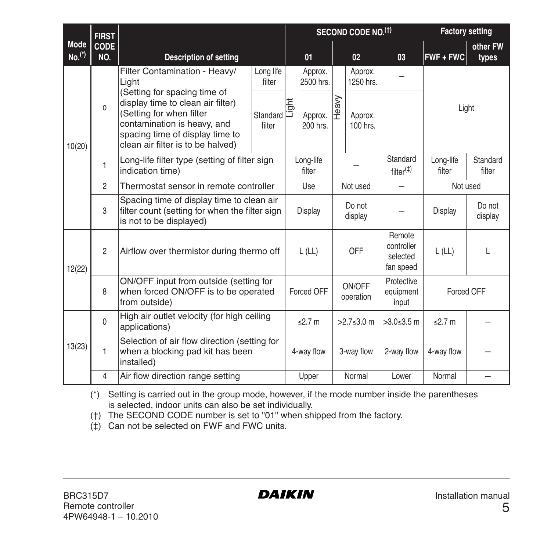|                  | <b>FIRST</b>       | <b>Description of setting</b>                                                                                                                                                                                                                              |                     | SECOND CODE NO.(1) |                                   |                   |                                  |                                               | <b>Factory setting</b> |                    |
|------------------|--------------------|------------------------------------------------------------------------------------------------------------------------------------------------------------------------------------------------------------------------------------------------------------|---------------------|--------------------|-----------------------------------|-------------------|----------------------------------|-----------------------------------------------|------------------------|--------------------|
| Mode<br>$No.(*)$ | <b>CODE</b><br>NO. |                                                                                                                                                                                                                                                            |                     | 01                 |                                   | 02 <sub>2</sub>   |                                  | 03                                            | $FWF + FWC$            | other FW<br>types  |
| 10(20)           |                    | Filter Contamination - Heavy/<br>Light<br>(Setting for spacing time of<br>display time to clean air filter)<br>$\Omega$<br>(Setting for when filter<br>contamination is heavy, and<br>spacing time of display time to<br>clean air filter is to be halved) | Long life<br>filter |                    | Approx.<br>2500 hrs.              |                   | Approx.<br>1250 hrs.             |                                               |                        |                    |
|                  |                    |                                                                                                                                                                                                                                                            | Standard<br>filter  | Light              | Approx.<br>200 hrs.               | Heavy             | Approx.<br>100 hrs.              |                                               | Light                  |                    |
|                  | $\mathbf{1}$       | Long-life filter type (setting of filter sign<br>indication time)                                                                                                                                                                                          |                     |                    | Long-life<br>filter               |                   |                                  | Standard<br>$f$ ilter $($ ‡ $)$               | Long-life<br>filter    | Standard<br>filter |
|                  | $\overline{2}$     | Thermostat sensor in remote controller                                                                                                                                                                                                                     |                     |                    | Not used<br>Use                   |                   |                                  | Not used                                      |                        |                    |
|                  | 3                  | Spacing time of display time to clean air<br>filter count (setting for when the filter sign<br>is not to be displayed)                                                                                                                                     |                     |                    | Display                           | Do not<br>display |                                  |                                               | Display                | Do not<br>display  |
| 12(22)           | $\overline{2}$     | Airflow over thermistor during thermo off                                                                                                                                                                                                                  |                     |                    | L(LL)                             | OFF               |                                  | Remote<br>controller<br>selected<br>fan speed | L(LL)                  | L                  |
|                  | 8                  | ON/OFF input from outside (setting for<br>when forced ON/OFF is to be operated<br>from outside)                                                                                                                                                            |                     |                    | ON/OFF<br>Forced OFF<br>operation |                   | Protective<br>equipment<br>input | Forced OFF                                    |                        |                    |
| 13(23)           | $\Omega$           | High air outlet velocity (for high ceiling<br>applications)                                                                                                                                                                                                |                     |                    | $<$ 2.7 m<br>$>2.7<3.0$ m         |                   | $>3.0 \le 3.5$ m                 | $<$ 2.7 m                                     |                        |                    |
|                  | 1                  | Selection of air flow direction (setting for<br>when a blocking pad kit has been<br>installed)                                                                                                                                                             |                     |                    | 4-way flow                        |                   | 3-way flow                       | 2-way flow                                    | 4-way flow             |                    |
|                  | 4                  | Air flow direction range setting                                                                                                                                                                                                                           |                     |                    | Upper                             |                   | Normal                           | Lower                                         | Normal                 |                    |

(\*) Setting is carried out in the group mode, however, if the mode number inside the parentheses is selected, indoor units can also be set individually.

(†) The SECOND CODE number is set to "01" when shipped from the factory.

(‡) Can not be selected on FWF and FWC units.